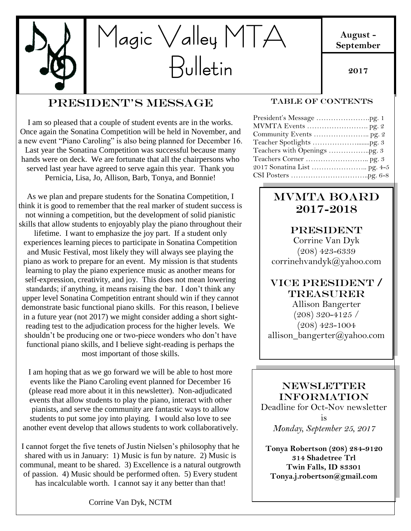

## President's Message

I am so pleased that a couple of student events are in the works. Once again the Sonatina Competition will be held in November, and a new event "Piano Caroling" is also being planned for December 16. Last year the Sonatina Competition was successful because many hands were on deck. We are fortunate that all the chairpersons who served last year have agreed to serve again this year. Thank you Pernicia, Lisa, Jo, Allison, Barb, Tonya, and Bonnie!

As we plan and prepare students for the Sonatina Competition, I think it is good to remember that the real marker of student success is not winning a competition, but the development of solid pianistic skills that allow students to enjoyably play the piano throughout their lifetime. I want to emphasize the joy part. If a student only experiences learning pieces to participate in Sonatina Competition and Music Festival, most likely they will always see playing the piano as work to prepare for an event. My mission is that students learning to play the piano experience music as another means for self-expression, creativity, and joy. This does not mean lowering standards; if anything, it means raising the bar. I don't think any upper level Sonatina Competition entrant should win if they cannot demonstrate basic functional piano skills. For this reason, I believe in a future year (not 2017) we might consider adding a short sightreading test to the adjudication process for the higher levels. We shouldn't be producing one or two-piece wonders who don't have functional piano skills, and I believe sight-reading is perhaps the most important of those skills.

I am hoping that as we go forward we will be able to host more events like the Piano Caroling event planned for December 16 (please read more about it in this newsletter). Non-adjudicated events that allow students to play the piano, interact with other pianists, and serve the community are fantastic ways to allow students to put some joy into playing. I would also love to see another event develop that allows students to work collaboratively.

I cannot forget the five tenets of Justin Nielsen's philosophy that he shared with us in January: 1) Music is fun by nature. 2) Music is communal, meant to be shared. 3) Excellence is a natural outgrowth of passion. 4) Music should be performed often. 5) Every student has incalculable worth. I cannot say it any better than that!

Corrine Van Dyk, NCTM

#### TABLE OF CONTENTS

## MVMTA Board 2017-2018

#### **PRESIDENT**

Corrine Van Dyk (208) 423-6339 corrinehvandyk@yahoo.com

## VICE PRESIDENT / Treasurer

allison\_bangerter@yahoo.com  $\overline{\phantom{a}}$  o  $\overline{\phantom{a}}$ Allison Bangerter (208) 320-4125 /  $(208)$  423-1004

#### **NEWSLETTER** INFORMATION

Deadline for Oct-Nov newsletter is *Monday, September 25, 2017*

**Tonya Robertson (208) 284-9120 314 Shadetree Trl Twin Falls, ID 83301 Tonya.j.robertson@gmail.com**

### **August - September**

**2017**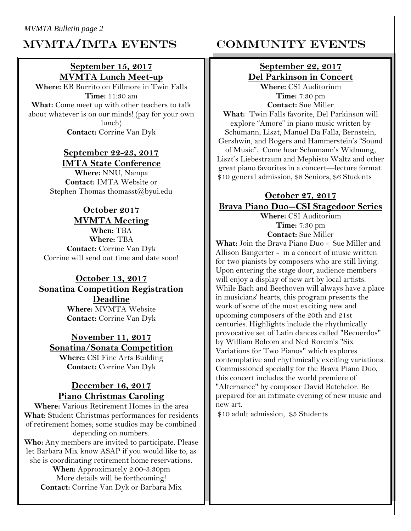*MVMTA Bulletin page 2*

# MVMTA/IMTA EVENTS COMMUNITY EVENTS

## **September 15, 2017 MVMTA Lunch Meet-up**

**Where:** KB Burrito on Fillmore in Twin Falls **Time:** 11:30 am **What:** Come meet up with other teachers to talk about whatever is on our minds! (pay for your own lunch) **Contact:** Corrine Van Dyk

#### **September 22-23, 2017 IMTA State Conference**

**Where:** NNU, Nampa **Contact:** IMTA Website or Stephen Thomas thomasst@byui.edu

## **October 2017**

**MVMTA Meeting When:** TBA **Where:** TBA **Contact:** Corrine Van Dyk Corrine will send out time and date soon!

#### **October 13, 2017 Sonatina Competition Registration Deadline Where:** MVMTA Website **Contact:** Corrine Van Dyk

**November 11, 2017 Sonatina/Sonata Competition**

**Where:** CSI Fine Arts Building **Contact:** Corrine Van Dyk

#### **December 16, 2017 Piano Christmas Caroling**

**Where:** Various Retirement Homes in the area **What:** Student Christmas performances for residents of retirement homes; some studios may be combined depending on numbers.

**Who:** Any members are invited to participate. Please let Barbara Mix know ASAP if you would like to, as she is coordinating retirement home reservations.

**When:** Approximately 2:00-3:30pm More details will be forthcoming! **Contact:** Corrine Van Dyk or Barbara Mix

## **September 22, 2017 Del Parkinson in Concert**

**Where:** CSI Auditorium **Time:** 7:30 pm **Contact:** Sue Miller

**What:** Twin Falls favorite, Del Parkinson will explore "Amore" in piano music written by Schumann, Liszt, Manuel Da Falla, Bernstein, Gershwin, and Rogers and Hammerstein's "Sound of Music". Come hear Schumann's Widmung, Liszt's Liebestraum and Mephisto Waltz and other great piano favorites in a concert—lecture format. \$10 general admission, \$8 Seniors, \$6 Students

## **October 27, 2017 Brava Piano Duo--CSI Stagedoor Series**

**Where:** CSI Auditorium **Time:** 7:30 pm **Contact:** Sue Miller

**What:** Join the Brava Piano Duo - Sue Miller and Allison Bangerter - in a concert of music written for two pianists by composers who are still living. Upon entering the stage door, audience members will enjoy a display of new art by local artists. While Bach and Beethoven will always have a place in musicians' hearts, this program presents the work of some of the most exciting new and upcoming composers of the 20th and 21st centuries. Highlights include the rhythmically provocative set of Latin dances called "Recuerdos" by William Bolcom and Ned Rorem's "Six Variations for Two Pianos" which explores contemplative and rhythmically exciting variations. Commissioned specially for the Brava Piano Duo, this concert includes the world premiere of "Alternance" by composer David Batchelor. Be prepared for an intimate evening of new music and new art.

\$10 adult admission, \$5 Students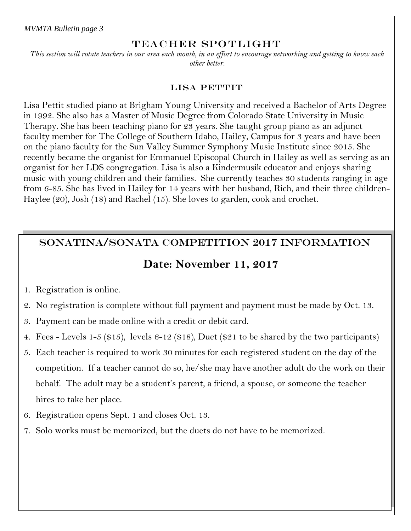*MVMTA Bulletin page 3*

#### TEACHER SPOTLIGHT

*This section will rotate teachers in our area each month, in an effort to encourage networking and getting to know each other better.*

#### LISA PETTIT

Lisa Pettit studied piano at Brigham Young University and received a Bachelor of Arts Degree in 1992. She also has a Master of Music Degree from Colorado State University in Music Therapy. She has been teaching piano for 23 years. She taught group piano as an adjunct faculty member for The College of Southern Idaho, Hailey, Campus for 3 years and have been on the piano faculty for the Sun Valley Summer Symphony Music Institute since 2015. She recently became the organist for Emmanuel Episcopal Church in Hailey as well as serving as an organist for her LDS congregation. Lisa is also a Kindermusik educator and enjoys sharing music with young children and their families. She currently teaches 30 students ranging in age from 6-85. She has lived in Hailey for 14 years with her husband, Rich, and their three children-Haylee (20), Josh (18) and Rachel (15). She loves to garden, cook and crochet.

## SONATINA/SONATA COMPETITION 2017 INFORMATION

## **Date: November 11, 2017**

- 1. Registration is online.
- 2. No registration is complete without full payment and payment must be made by Oct. 13.
- 3. Payment can be made online with a credit or debit card.
- 4. Fees Levels 1-5 (\$15), levels 6-12 (\$18), Duet (\$21 to be shared by the two participants)
- 5. Each teacher is required to work 30 minutes for each registered student on the day of the competition. If a teacher cannot do so, he/she may have another adult do the work on their behalf. The adult may be a student's parent, a friend, a spouse, or someone the teacher hires to take her place.
- 6. Registration opens Sept. 1 and closes Oct. 13.
- 7. Solo works must be memorized, but the duets do not have to be memorized.